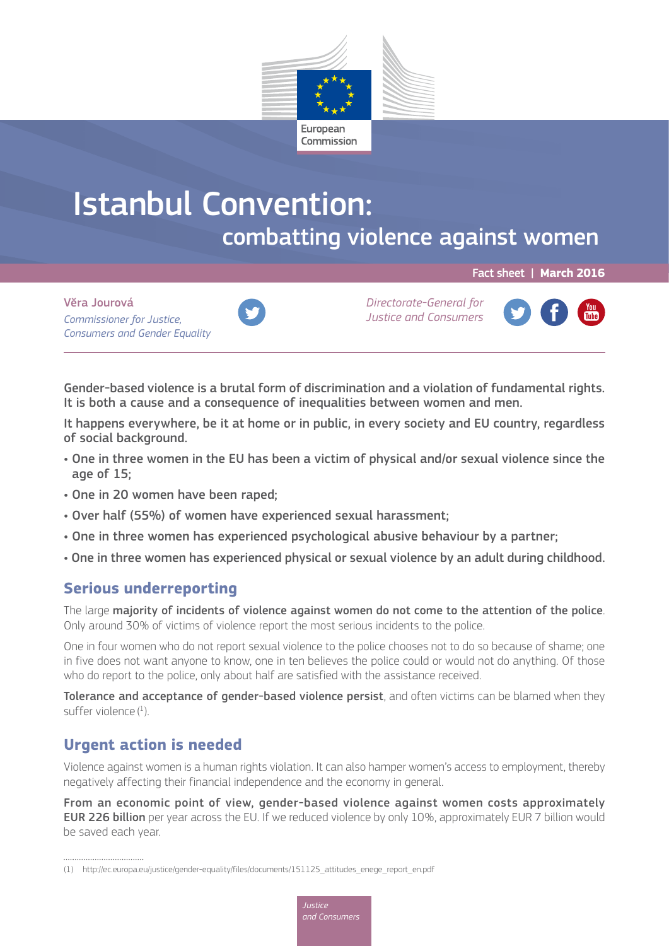

# Istanbul Convention: combatting violence against women

Fact sheet | **March 2016**

Vĕra Jourová *Commissioner for Justice, Consumers and Gender Equality*



*Directorate-General for Justice and Consumers*



Gender-based violence is a brutal form of discrimination and a violation of fundamental rights. It is both a cause and a consequence of inequalities between women and men.

It happens everywhere, be it at home or in public, in every society and EU country, regardless of social background.

- One in three women in the EU has been a victim of physical and/or sexual violence since the age of 15;
- One in 20 women have been raped;
- Over half (55%) of women have experienced sexual harassment;
- One in three women has experienced psychological abusive behaviour by a partner;
- One in three women has experienced physical or sexual violence by an adult during childhood.

# **Serious underreporting**

The large majority of incidents of violence against women do not come to the attention of the police. Only around 30% of victims of violence report the most serious incidents to the police.

One in four women who do not report sexual violence to the police chooses not to do so because of shame; one in five does not want anyone to know, one in ten believes the police could or would not do anything. Of those who do report to the police, only about half are satisfied with the assistance received.

Tolerance and acceptance of gender-based violence persist, and often victims can be blamed when they suffer violence  $(^1)$ .

# **Urgent action is needed**

Violence against women is a human rights violation. It can also hamper women's access to employment, thereby negatively affecting their financial independence and the economy in general.

From an economic point of view, gender-based violence against women costs approximately EUR 226 billion per year across the EU. If we reduced violence by only 10%, approximately EUR 7 billion would be saved each year.

<sup>(1)</sup> [http://ec.europa.eu/justice/gender-equality/files/documents/151125\\_attitudes\\_enege\\_report\\_en.pdf](http://ec.europa.eu/justice/gender-equality/files/documents/151125_attitudes_enege_report_en.pdf)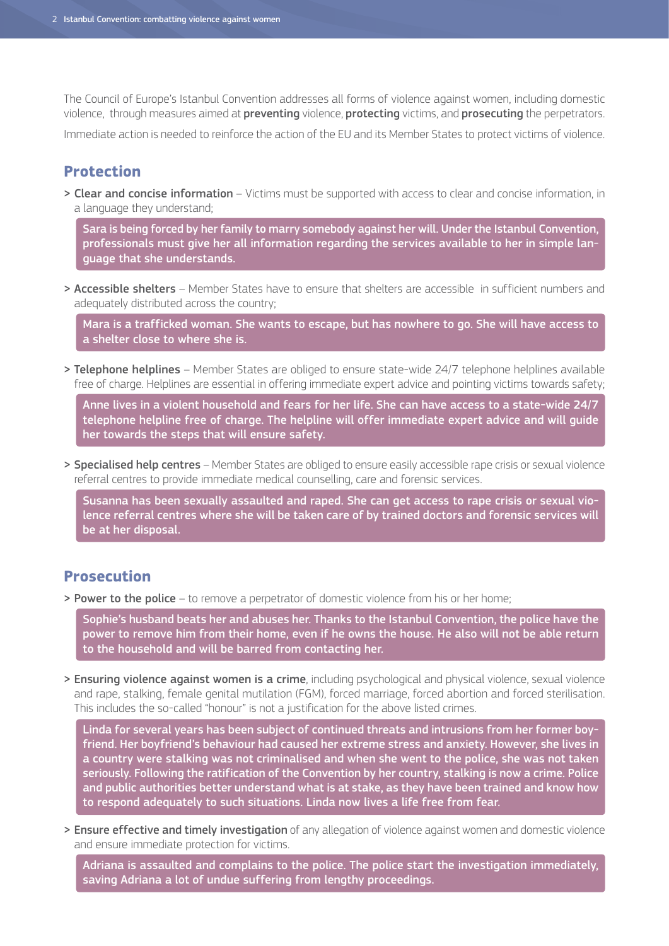The Council of Europe's Istanbul Convention addresses all forms of violence against women, including domestic violence, through measures aimed at preventing violence, protecting victims, and prosecuting the perpetrators.

Immediate action is needed to reinforce the action of the EU and its Member States to protect victims of violence.

## **Protection**

> Clear and concise information – Victims must be supported with access to clear and concise information, in a language they understand;

Sara is being forced by her family to marry somebody against her will. Under the Istanbul Convention, professionals must give her all information regarding the services available to her in simple language that she understands.

> Accessible shelters - Member States have to ensure that shelters are accessible in sufficient numbers and adequately distributed across the country;

Mara is a trafficked woman. She wants to escape, but has nowhere to go. She will have access to a shelter close to where she is.

> Telephone helplines – Member States are obliged to ensure state-wide 24/7 telephone helplines available free of charge. Helplines are essential in offering immediate expert advice and pointing victims towards safety;

Anne lives in a violent household and fears for her life. She can have access to a state-wide 24/7 telephone helpline free of charge. The helpline will offer immediate expert advice and will guide her towards the steps that will ensure safety.

> Specialised help centres – Member States are obliged to ensure easily accessible rape crisis or sexual violence referral centres to provide immediate medical counselling, care and forensic services.

Susanna has been sexually assaulted and raped. She can get access to rape crisis or sexual violence referral centres where she will be taken care of by trained doctors and forensic services will be at her disposal.

## **Prosecution**

> Power to the police – to remove a perpetrator of domestic violence from his or her home;

Sophie's husband beats her and abuses her. Thanks to the Istanbul Convention, the police have the power to remove him from their home, even if he owns the house. He also will not be able return to the household and will be barred from contacting her.

> Ensuring violence against women is a crime, including psychological and physical violence, sexual violence and rape, stalking, female genital mutilation (FGM), forced marriage, forced abortion and forced sterilisation. This includes the so-called "honour" is not a justification for the above listed crimes.

Linda for several years has been subject of continued threats and intrusions from her former boyfriend. Her boyfriend's behaviour had caused her extreme stress and anxiety. However, she lives in a country were stalking was not criminalised and when she went to the police, she was not taken seriously. Following the ratification of the Convention by her country, stalking is now a crime. Police and public authorities better understand what is at stake, as they have been trained and know how to respond adequately to such situations. Linda now lives a life free from fear.

> Ensure effective and timely investigation of any allegation of violence against women and domestic violence and ensure immediate protection for victims.

Adriana is assaulted and complains to the police. The police start the investigation immediately, saving Adriana a lot of undue suffering from lengthy proceedings.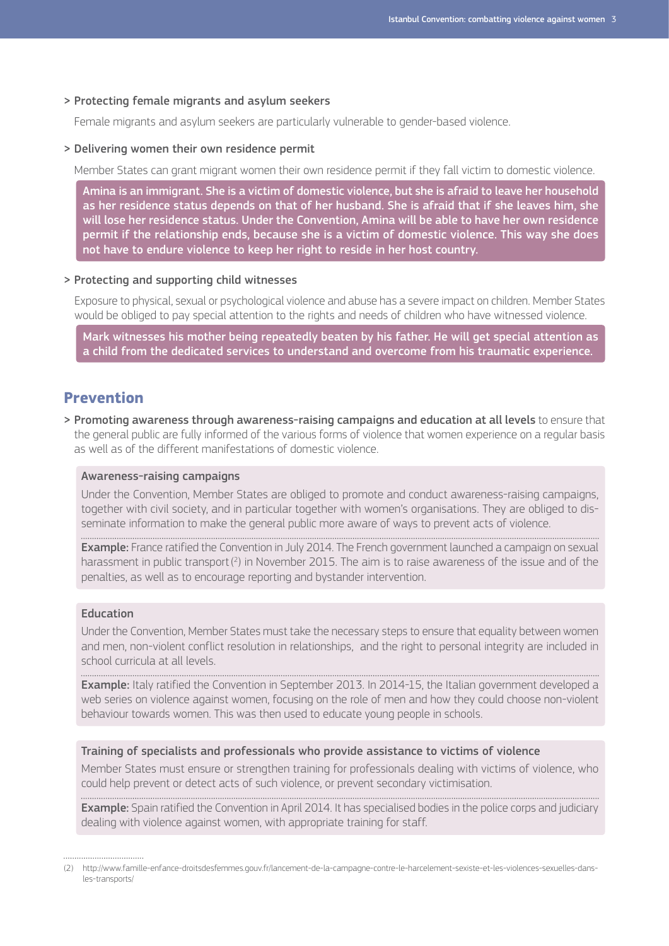#### > Protecting female migrants and asylum seekers

Female migrants and asylum seekers are particularly vulnerable to gender-based violence.

#### > Delivering women their own residence permit

Member States can grant migrant women their own residence permit if they fall victim to domestic violence.

Amina is an immigrant. She is a victim of domestic violence, but she is afraid to leave her household as her residence status depends on that of her husband. She is afraid that if she leaves him, she will lose her residence status. Under the Convention, Amina will be able to have her own residence permit if the relationship ends, because she is a victim of domestic violence. This way she does not have to endure violence to keep her right to reside in her host country.

#### > Protecting and supporting child witnesses

Exposure to physical, sexual or psychological violence and abuse has a severe impact on children. Member States would be obliged to pay special attention to the rights and needs of children who have witnessed violence.

Mark witnesses his mother being repeatedly beaten by his father. He will get special attention as a child from the dedicated services to understand and overcome from his traumatic experience.

## **Prevention**

> Promoting awareness through awareness-raising campaigns and education at all levels to ensure that the general public are fully informed of the various forms of violence that women experience on a regular basis as well as of the different manifestations of domestic violence.

#### Awareness-raising campaigns

Under the Convention, Member States are obliged to promote and conduct awareness-raising campaigns, together with civil society, and in particular together with women's organisations. They are obliged to disseminate information to make the general public more aware of ways to prevent acts of violence.

**Example:** France ratified the Convention in July 2014. The French government launched a campaign on sexual harassment in public transport $(^2)$  in November 2015. The aim is to raise awareness of the issue and of the penalties, as well as to encourage reporting and bystander intervention.

#### Education

Under the Convention, Member States must take the necessary steps to ensure that equality between women and men, non-violent conflict resolution in relationships, and the right to personal integrity are included in school curricula at all levels.

Example: Italy ratified the Convention in September 2013. In 2014-15, the Italian government developed a web series on violence against women, focusing on the role of men and how they could choose non-violent behaviour towards women. This was then used to educate young people in schools.

#### Training of specialists and professionals who provide assistance to victims of violence

Member States must ensure or strengthen training for professionals dealing with victims of violence, who could help prevent or detect acts of such violence, or prevent secondary victimisation.

**Example:** Spain ratified the Convention in April 2014. It has specialised bodies in the police corps and judiciary dealing with violence against women, with appropriate training for staff.

<sup>(2)</sup> [http://www.famille-enfance-droitsdesfemmes.gouv.fr/lancement-de-la-campagne-contre-le-harcelement-sexiste-et-les-violences-sexuelles-dans](http://www.famille-enfance-droitsdesfemmes.gouv.fr/lancement-de-la-campagne-contre-le-harcelement-sexiste-et-les-violences-sexuelles-dans-les-transports/)[les-transports/](http://www.famille-enfance-droitsdesfemmes.gouv.fr/lancement-de-la-campagne-contre-le-harcelement-sexiste-et-les-violences-sexuelles-dans-les-transports/)